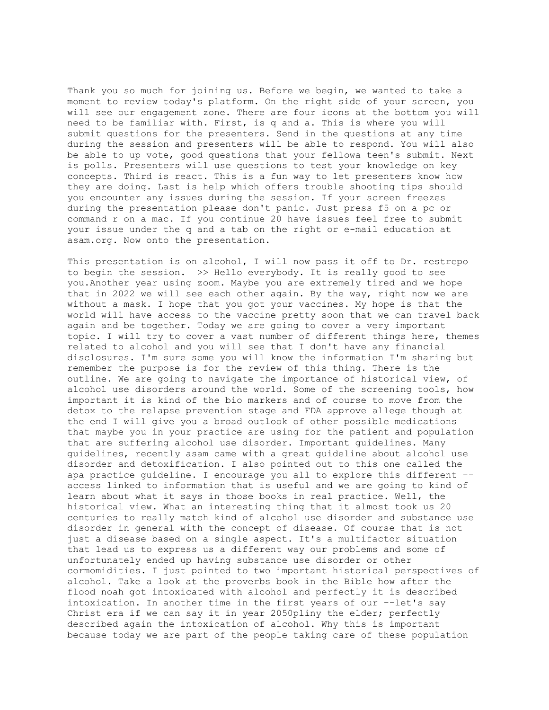Thank you so much for joining us. Before we begin, we wanted to take a moment to review today's platform. On the right side of your screen, you will see our engagement zone. There are four icons at the bottom you will need to be familiar with. First, is q and a. This is where you will submit questions for the presenters. Send in the questions at any time during the session and presenters will be able to respond. You will also be able to up vote, good questions that your fellowa teen's submit. Next is polls. Presenters will use questions to test your knowledge on key concepts. Third is react. This is a fun way to let presenters know how they are doing. Last is help which offers trouble shooting tips should you encounter any issues during the session. If your screen freezes during the presentation please don't panic. Just press f5 on a pc or command r on a mac. If you continue 20 have issues feel free to submit your issue under the q and a tab on the right or e-mail education at asam.org. Now onto the presentation.

This presentation is on alcohol, I will now pass it off to Dr. restrepo to begin the session. >> Hello everybody. It is really good to see you.Another year using zoom. Maybe you are extremely tired and we hope that in 2022 we will see each other again. By the way, right now we are without a mask. I hope that you got your vaccines. My hope is that the world will have access to the vaccine pretty soon that we can travel back again and be together. Today we are going to cover a very important topic. I will try to cover a vast number of different things here, themes related to alcohol and you will see that I don't have any financial disclosures. I'm sure some you will know the information I'm sharing but remember the purpose is for the review of this thing. There is the outline. We are going to navigate the importance of historical view, of alcohol use disorders around the world. Some of the screening tools, how important it is kind of the bio markers and of course to move from the detox to the relapse prevention stage and FDA approve allege though at the end I will give you a broad outlook of other possible medications that maybe you in your practice are using for the patient and population that are suffering alcohol use disorder. Important guidelines. Many guidelines, recently asam came with a great guideline about alcohol use disorder and detoxification. I also pointed out to this one called the apa practice guideline. I encourage you all to explore this different - access linked to information that is useful and we are going to kind of learn about what it says in those books in real practice. Well, the historical view. What an interesting thing that it almost took us 20 centuries to really match kind of alcohol use disorder and substance use disorder in general with the concept of disease. Of course that is not just a disease based on a single aspect. It's a multifactor situation that lead us to express us a different way our problems and some of unfortunately ended up having substance use disorder or other cormomidities. I just pointed to two important historical perspectives of alcohol. Take a look at the proverbs book in the Bible how after the flood noah got intoxicated with alcohol and perfectly it is described intoxication. In another time in the first years of our --let's say Christ era if we can say it in year 2050pliny the elder; perfectly described again the intoxication of alcohol. Why this is important because today we are part of the people taking care of these population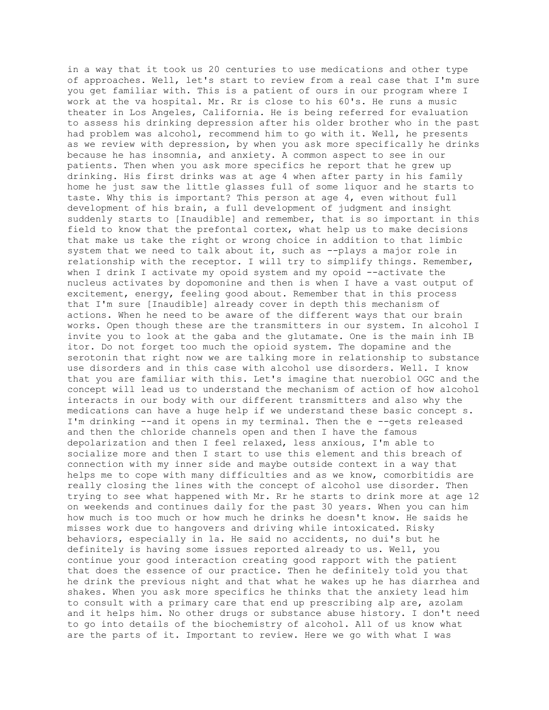in a way that it took us 20 centuries to use medications and other type of approaches. Well, let's start to review from a real case that I'm sure you get familiar with. This is a patient of ours in our program where I work at the va hospital. Mr. Rr is close to his 60's. He runs a music theater in Los Angeles, California. He is being referred for evaluation to assess his drinking depression after his older brother who in the past had problem was alcohol, recommend him to go with it. Well, he presents as we review with depression, by when you ask more specifically he drinks because he has insomnia, and anxiety. A common aspect to see in our patients. Then when you ask more specifics he report that he grew up drinking. His first drinks was at age 4 when after party in his family home he just saw the little glasses full of some liquor and he starts to taste. Why this is important? This person at age 4, even without full development of his brain, a full development of judgment and insight suddenly starts to [Inaudible] and remember, that is so important in this field to know that the prefontal cortex, what help us to make decisions that make us take the right or wrong choice in addition to that limbic system that we need to talk about it, such as --plays a major role in relationship with the receptor. I will try to simplify things. Remember, when I drink I activate my opoid system and my opoid --activate the nucleus activates by dopomonine and then is when I have a vast output of excitement, energy, feeling good about. Remember that in this process that I'm sure [Inaudible] already cover in depth this mechanism of actions. When he need to be aware of the different ways that our brain works. Open though these are the transmitters in our system. In alcohol I invite you to look at the gaba and the glutamate. One is the main inh IB itor. Do not forget too much the opioid system. The dopamine and the serotonin that right now we are talking more in relationship to substance use disorders and in this case with alcohol use disorders. Well. I know that you are familiar with this. Let's imagine that nuerobiol OGC and the concept will lead us to understand the mechanism of action of how alcohol interacts in our body with our different transmitters and also why the medications can have a huge help if we understand these basic concept s. I'm drinking --and it opens in my terminal. Then the e --gets released and then the chloride channels open and then I have the famous depolarization and then I feel relaxed, less anxious, I'm able to socialize more and then I start to use this element and this breach of connection with my inner side and maybe outside context in a way that helps me to cope with many difficulties and as we know, comorbitidis are really closing the lines with the concept of alcohol use disorder. Then trying to see what happened with Mr. Rr he starts to drink more at age 12 on weekends and continues daily for the past 30 years. When you can him how much is too much or how much he drinks he doesn't know. He saids he misses work due to hangovers and driving while intoxicated. Risky behaviors, especially in la. He said no accidents, no dui's but he definitely is having some issues reported already to us. Well, you continue your good interaction creating good rapport with the patient that does the essence of our practice. Then he definitely told you that he drink the previous night and that what he wakes up he has diarrhea and shakes. When you ask more specifics he thinks that the anxiety lead him to consult with a primary care that end up prescribing alp are, azolam and it helps him. No other drugs or substance abuse history. I don't need to go into details of the biochemistry of alcohol. All of us know what are the parts of it. Important to review. Here we go with what I was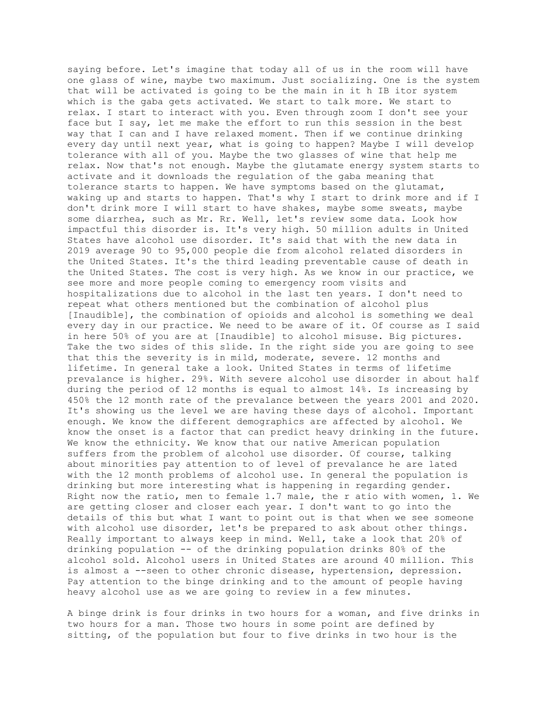saying before. Let's imagine that today all of us in the room will have one glass of wine, maybe two maximum. Just socializing. One is the system that will be activated is going to be the main in it h IB itor system which is the gaba gets activated. We start to talk more. We start to relax. I start to interact with you. Even through zoom I don't see your face but I say, let me make the effort to run this session in the best way that I can and I have relaxed moment. Then if we continue drinking every day until next year, what is going to happen? Maybe I will develop tolerance with all of you. Maybe the two glasses of wine that help me relax. Now that's not enough. Maybe the glutamate energy system starts to activate and it downloads the regulation of the gaba meaning that tolerance starts to happen. We have symptoms based on the glutamat, waking up and starts to happen. That's why I start to drink more and if I don't drink more I will start to have shakes, maybe some sweats, maybe some diarrhea, such as Mr. Rr. Well, let's review some data. Look how impactful this disorder is. It's very high. 50 million adults in United States have alcohol use disorder. It's said that with the new data in 2019 average 90 to 95,000 people die from alcohol related disorders in the United States. It's the third leading preventable cause of death in the United States. The cost is very high. As we know in our practice, we see more and more people coming to emergency room visits and hospitalizations due to alcohol in the last ten years. I don't need to repeat what others mentioned but the combination of alcohol plus [Inaudible], the combination of opioids and alcohol is something we deal every day in our practice. We need to be aware of it. Of course as I said in here 50% of you are at [Inaudible] to alcohol misuse. Big pictures. Take the two sides of this slide. In the right side you are going to see that this the severity is in mild, moderate, severe. 12 months and lifetime. In general take a look. United States in terms of lifetime prevalance is higher. 29%. With severe alcohol use disorder in about half during the period of 12 months is equal to almost 14%. Is increasing by 450% the 12 month rate of the prevalance between the years 2001 and 2020. It's showing us the level we are having these days of alcohol. Important enough. We know the different demographics are affected by alcohol. We know the onset is a factor that can predict heavy drinking in the future. We know the ethnicity. We know that our native American population suffers from the problem of alcohol use disorder. Of course, talking about minorities pay attention to of level of prevalance he are lated with the 12 month problems of alcohol use. In general the population is drinking but more interesting what is happening in regarding gender. Right now the ratio, men to female 1.7 male, the r atio with women, 1. We are getting closer and closer each year. I don't want to go into the details of this but what I want to point out is that when we see someone with alcohol use disorder, let's be prepared to ask about other things. Really important to always keep in mind. Well, take a look that 20% of drinking population -- of the drinking population drinks 80% of the alcohol sold. Alcohol users in United States are around 40 million. This is almost a --seen to other chronic disease, hypertension, depression. Pay attention to the binge drinking and to the amount of people having heavy alcohol use as we are going to review in a few minutes.

A binge drink is four drinks in two hours for a woman, and five drinks in two hours for a man. Those two hours in some point are defined by sitting, of the population but four to five drinks in two hour is the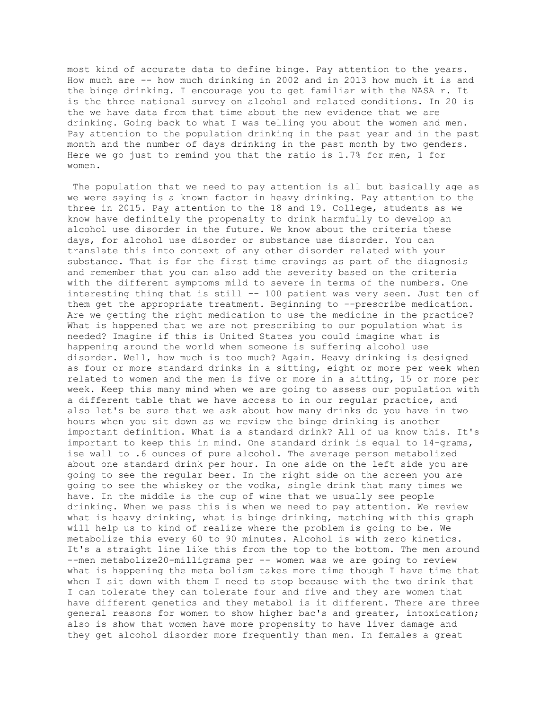most kind of accurate data to define binge. Pay attention to the years. How much are -- how much drinking in 2002 and in 2013 how much it is and the binge drinking. I encourage you to get familiar with the NASA r. It is the three national survey on alcohol and related conditions. In 20 is the we have data from that time about the new evidence that we are drinking. Going back to what I was telling you about the women and men. Pay attention to the population drinking in the past year and in the past month and the number of days drinking in the past month by two genders. Here we go just to remind you that the ratio is 1.7% for men, 1 for women.

The population that we need to pay attention is all but basically age as we were saying is a known factor in heavy drinking. Pay attention to the three in 2015. Pay attention to the 18 and 19. College, students as we know have definitely the propensity to drink harmfully to develop an alcohol use disorder in the future. We know about the criteria these days, for alcohol use disorder or substance use disorder. You can translate this into context of any other disorder related with your substance. That is for the first time cravings as part of the diagnosis and remember that you can also add the severity based on the criteria with the different symptoms mild to severe in terms of the numbers. One interesting thing that is still -- 100 patient was very seen. Just ten of them get the appropriate treatment. Beginning to --prescribe medication. Are we getting the right medication to use the medicine in the practice? What is happened that we are not prescribing to our population what is needed? Imagine if this is United States you could imagine what is happening around the world when someone is suffering alcohol use disorder. Well, how much is too much? Again. Heavy drinking is designed as four or more standard drinks in a sitting, eight or more per week when related to women and the men is five or more in a sitting, 15 or more per week. Keep this many mind when we are going to assess our population with a different table that we have access to in our regular practice, and also let's be sure that we ask about how many drinks do you have in two hours when you sit down as we review the binge drinking is another important definition. What is a standard drink? All of us know this. It's important to keep this in mind. One standard drink is equal to 14-grams, ise wall to .6 ounces of pure alcohol. The average person metabolized about one standard drink per hour. In one side on the left side you are going to see the regular beer. In the right side on the screen you are going to see the whiskey or the vodka, single drink that many times we have. In the middle is the cup of wine that we usually see people drinking. When we pass this is when we need to pay attention. We review what is heavy drinking, what is binge drinking, matching with this graph will help us to kind of realize where the problem is going to be. We metabolize this every 60 to 90 minutes. Alcohol is with zero kinetics. It's a straight line like this from the top to the bottom. The men around --men metabolize20-milligrams per -- women was we are going to review what is happening the meta bolism takes more time though I have time that when I sit down with them I need to stop because with the two drink that I can tolerate they can tolerate four and five and they are women that have different genetics and they metabol is it different. There are three general reasons for women to show higher bac's and greater, intoxication; also is show that women have more propensity to have liver damage and they get alcohol disorder more frequently than men. In females a great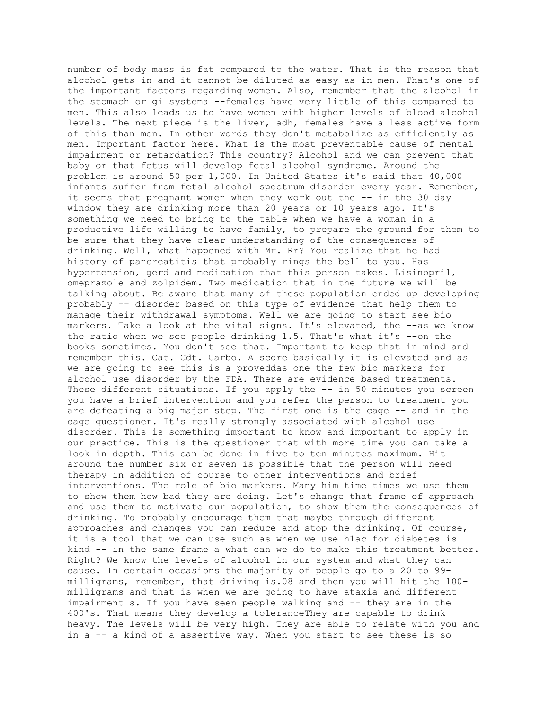number of body mass is fat compared to the water. That is the reason that alcohol gets in and it cannot be diluted as easy as in men. That's one of the important factors regarding women. Also, remember that the alcohol in the stomach or gi systema --females have very little of this compared to men. This also leads us to have women with higher levels of blood alcohol levels. The next piece is the liver, adh, females have a less active form of this than men. In other words they don't metabolize as efficiently as men. Important factor here. What is the most preventable cause of mental impairment or retardation? This country? Alcohol and we can prevent that baby or that fetus will develop fetal alcohol syndrome. Around the problem is around 50 per 1,000. In United States it's said that 40,000 infants suffer from fetal alcohol spectrum disorder every year. Remember, it seems that pregnant women when they work out the -- in the 30 day window they are drinking more than 20 years or 10 years ago. It's something we need to bring to the table when we have a woman in a productive life willing to have family, to prepare the ground for them to be sure that they have clear understanding of the consequences of drinking. Well, what happened with Mr. Rr? You realize that he had history of pancreatitis that probably rings the bell to you. Has hypertension, gerd and medication that this person takes. Lisinopril, omeprazole and zolpidem. Two medication that in the future we will be talking about. Be aware that many of these population ended up developing probably -- disorder based on this type of evidence that help them to manage their withdrawal symptoms. Well we are going to start see bio markers. Take a look at the vital signs. It's elevated, the --as we know the ratio when we see people drinking 1.5. That's what it's --on the books sometimes. You don't see that. Important to keep that in mind and remember this. Cat. Cdt. Carbo. A score basically it is elevated and as we are going to see this is a proveddas one the few bio markers for alcohol use disorder by the FDA. There are evidence based treatments. These different situations. If you apply the -- in 50 minutes you screen you have a brief intervention and you refer the person to treatment you are defeating a big major step. The first one is the cage -- and in the cage questioner. It's really strongly associated with alcohol use disorder. This is something important to know and important to apply in our practice. This is the questioner that with more time you can take a look in depth. This can be done in five to ten minutes maximum. Hit around the number six or seven is possible that the person will need therapy in addition of course to other interventions and brief interventions. The role of bio markers. Many him time times we use them to show them how bad they are doing. Let's change that frame of approach and use them to motivate our population, to show them the consequences of drinking. To probably encourage them that maybe through different approaches and changes you can reduce and stop the drinking. Of course, it is a tool that we can use such as when we use h1ac for diabetes is kind -- in the same frame a what can we do to make this treatment better. Right? We know the levels of alcohol in our system and what they can cause. In certain occasions the majority of people go to a 20 to 99 milligrams, remember, that driving is.08 and then you will hit the 100 milligrams and that is when we are going to have ataxia and different impairment s. If you have seen people walking and -- they are in the 400's. That means they develop a toleranceThey are capable to drink heavy. The levels will be very high. They are able to relate with you and in a -- a kind of a assertive way. When you start to see these is so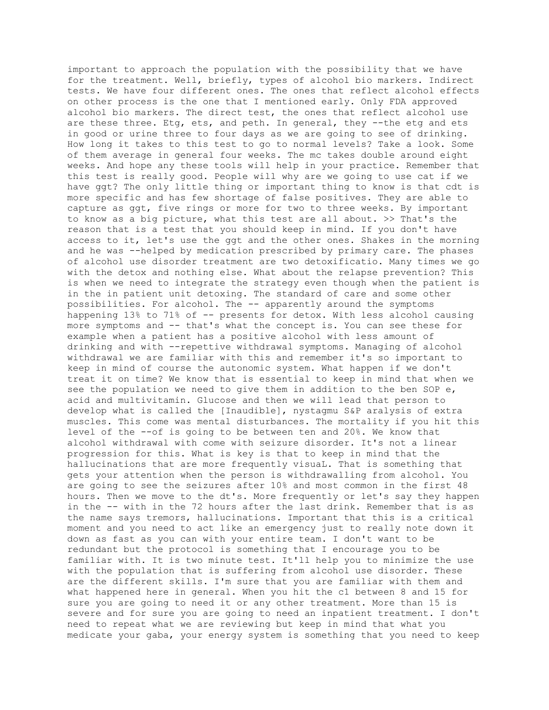important to approach the population with the possibility that we have for the treatment. Well, briefly, types of alcohol bio markers. Indirect tests. We have four different ones. The ones that reflect alcohol effects on other process is the one that I mentioned early. Only FDA approved alcohol bio markers. The direct test, the ones that reflect alcohol use are these three. Etg, ets, and peth. In general, they --the etg and ets in good or urine three to four days as we are going to see of drinking. How long it takes to this test to go to normal levels? Take a look. Some of them average in general four weeks. The mc takes double around eight weeks. And hope any these tools will help in your practice. Remember that this test is really good. People will why are we going to use cat if we have ggt? The only little thing or important thing to know is that cdt is more specific and has few shortage of false positives. They are able to capture as ggt, five rings or more for two to three weeks. By important to know as a big picture, what this test are all about. >> That's the reason that is a test that you should keep in mind. If you don't have access to it, let's use the ggt and the other ones. Shakes in the morning and he was --helped by medication prescribed by primary care. The phases of alcohol use disorder treatment are two detoxificatio. Many times we go with the detox and nothing else. What about the relapse prevention? This is when we need to integrate the strategy even though when the patient is in the in patient unit detoxing. The standard of care and some other possibilities. For alcohol. The -- apparently around the symptoms happening 13% to 71% of -- presents for detox. With less alcohol causing more symptoms and -- that's what the concept is. You can see these for example when a patient has a positive alcohol with less amount of drinking and with --repettive withdrawal symptoms. Managing of alcohol withdrawal we are familiar with this and remember it's so important to keep in mind of course the autonomic system. What happen if we don't treat it on time? We know that is essential to keep in mind that when we see the population we need to give them in addition to the ben SOP e, acid and multivitamin. Glucose and then we will lead that person to develop what is called the [Inaudible], nystagmu S&P aralysis of extra muscles. This come was mental disturbances. The mortality if you hit this level of the --of is going to be between ten and 20%. We know that alcohol withdrawal with come with seizure disorder. It's not a linear progression for this. What is key is that to keep in mind that the hallucinations that are more frequently visuaL. That is something that gets your attention when the person is withdrawalling from alcohol. You are going to see the seizures after 10% and most common in the first 48 hours. Then we move to the dt's. More frequently or let's say they happen in the -- with in the 72 hours after the last drink. Remember that is as the name says tremors, hallucinations. Important that this is a critical moment and you need to act like an emergency just to really note down it down as fast as you can with your entire team. I don't want to be redundant but the protocol is something that I encourage you to be familiar with. It is two minute test. It'll help you to minimize the use with the population that is suffering from alcohol use disorder. These are the different skills. I'm sure that you are familiar with them and what happened here in general. When you hit the c1 between 8 and 15 for sure you are going to need it or any other treatment. More than 15 is severe and for sure you are going to need an inpatient treatment. I don't need to repeat what we are reviewing but keep in mind that what you medicate your gaba, your energy system is something that you need to keep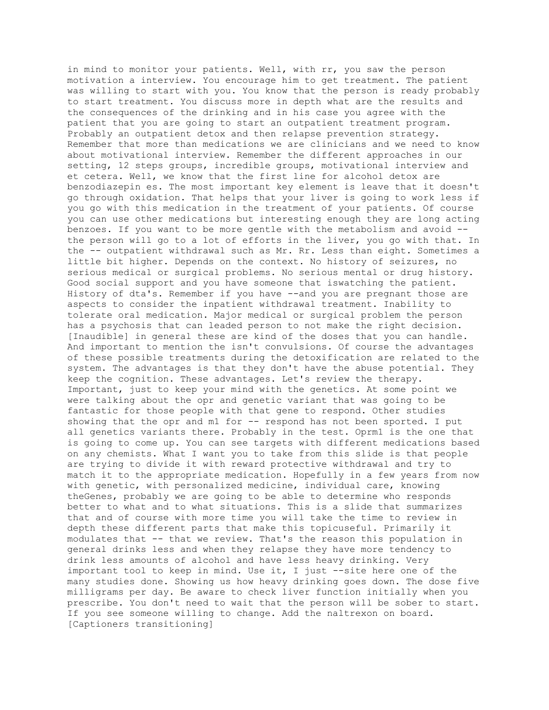in mind to monitor your patients. Well, with rr, you saw the person motivation a interview. You encourage him to get treatment. The patient was willing to start with you. You know that the person is ready probably to start treatment. You discuss more in depth what are the results and the consequences of the drinking and in his case you agree with the patient that you are going to start an outpatient treatment program. Probably an outpatient detox and then relapse prevention strategy. Remember that more than medications we are clinicians and we need to know about motivational interview. Remember the different approaches in our setting, 12 steps groups, incredible groups, motivational interview and et cetera. Well, we know that the first line for alcohol detox are benzodiazepin es. The most important key element is leave that it doesn't go through oxidation. That helps that your liver is going to work less if you go with this medication in the treatment of your patients. Of course you can use other medications but interesting enough they are long acting benzoes. If you want to be more gentle with the metabolism and avoid - the person will go to a lot of efforts in the liver, you go with that. In the -- outpatient withdrawal such as Mr. Rr. Less than eight. Sometimes a little bit higher. Depends on the context. No history of seizures, no serious medical or surgical problems. No serious mental or drug history. Good social support and you have someone that iswatching the patient. History of dta's. Remember if you have --and you are pregnant those are aspects to consider the inpatient withdrawal treatment. Inability to tolerate oral medication. Major medical or surgical problem the person has a psychosis that can leaded person to not make the right decision. [Inaudible] in general these are kind of the doses that you can handle. And important to mention the isn't convulsions. Of course the advantages of these possible treatments during the detoxification are related to the system. The advantages is that they don't have the abuse potential. They keep the cognition. These advantages. Let's review the therapy. Important, just to keep your mind with the genetics. At some point we were talking about the opr and genetic variant that was going to be fantastic for those people with that gene to respond. Other studies showing that the opr and m1 for -- respond has not been sported. I put all genetics variants there. Probably in the test. Oprm1 is the one that is going to come up. You can see targets with different medications based on any chemists. What I want you to take from this slide is that people are trying to divide it with reward protective withdrawal and try to match it to the appropriate medication. Hopefully in a few years from now with genetic, with personalized medicine, individual care, knowing theGenes, probably we are going to be able to determine who responds better to what and to what situations. This is a slide that summarizes that and of course with more time you will take the time to review in depth these different parts that make this topicuseful. Primarily it modulates that -- that we review. That's the reason this population in general drinks less and when they relapse they have more tendency to drink less amounts of alcohol and have less heavy drinking. Very important tool to keep in mind. Use it, I just --site here one of the many studies done. Showing us how heavy drinking goes down. The dose five milligrams per day. Be aware to check liver function initially when you prescribe. You don't need to wait that the person will be sober to start. If you see someone willing to change. Add the naltrexon on board. [Captioners transitioning]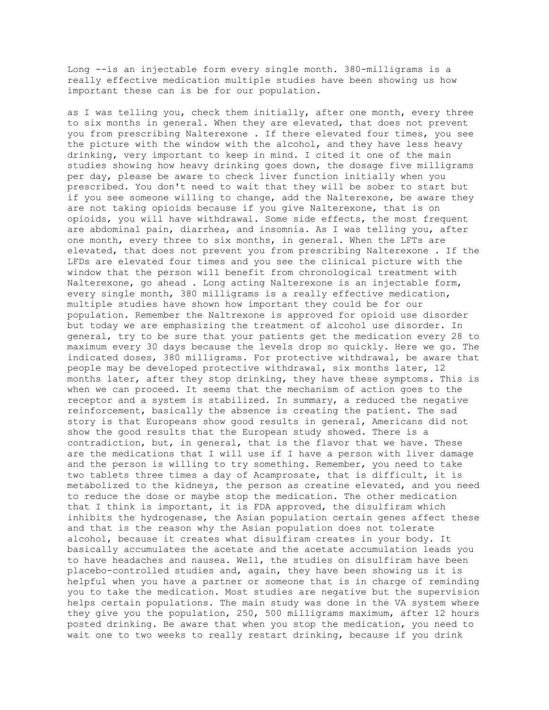Long --is an injectable form every single month. 380-milligrams is a really effective medication multiple studies have been showing us how important these can is be for our population.

as I was telling you, check them initially, after one month, every three to six months in general. When they are elevated, that does not prevent you from prescribing Nalterexone . If there elevated four times, you see the picture with the window with the alcohol, and they have less heavy drinking, very important to keep in mind. I cited it one of the main studies showing how heavy drinking goes down, the dosage five milligrams per day, please be aware to check liver function initially when you prescribed. You don't need to wait that they will be sober to start but if you see someone willing to change, add the Nalterexone, be aware they are not taking opioids because if you give Nalterexone, that is on opioids, you will have withdrawal. Some side effects, the most frequent are abdominal pain, diarrhea, and insomnia. As I was telling you, after one month, every three to six months, in general. When the LFTs are elevated, that does not prevent you from prescribing Nalterexone . If the LFDs are elevated four times and you see the clinical picture with the window that the person will benefit from chronological treatment with Nalterexone, go ahead . Long acting Nalterexone is an injectable form, every single month, 380 milligrams is a really effective medication, multiple studies have shown how important they could be for our population. Remember the Naltrexone is approved for opioid use disorder but today we are emphasizing the treatment of alcohol use disorder. In general, try to be sure that your patients get the medication every 28 to maximum every 30 days because the levels drop so quickly. Here we go. The indicated doses, 380 milligrams. For protective withdrawal, be aware that people may be developed protective withdrawal, six months later, 12 months later, after they stop drinking, they have these symptoms. This is when we can proceed. It seems that the mechanism of action goes to the receptor and a system is stabilized. In summary, a reduced the negative reinforcement, basically the absence is creating the patient. The sad story is that Europeans show good results in general, Americans did not show the good results that the European study showed. There is a contradiction, but, in general, that is the flavor that we have. These are the medications that I will use if I have a person with liver damage and the person is willing to try something. Remember, you need to take two tablets three times a day of Acamprosate, that is difficult, it is metabolized to the kidneys, the person as creatine elevated, and you need to reduce the dose or maybe stop the medication. The other medication that I think is important, it is FDA approved, the disulfiram which inhibits the hydrogenase, the Asian population certain genes affect these and that is the reason why the Asian population does not tolerate alcohol, because it creates what disulfiram creates in your body. It basically accumulates the acetate and the acetate accumulation leads you to have headaches and nausea. Well, the studies on disulfiram have been placebo-controlled studies and, again, they have been showing us it is helpful when you have a partner or someone that is in charge of reminding you to take the medication. Most studies are negative but the supervision helps certain populations. The main study was done in the VA system where they give you the population, 250, 500 milligrams maximum, after 12 hours posted drinking. Be aware that when you stop the medication, you need to wait one to two weeks to really restart drinking, because if you drink